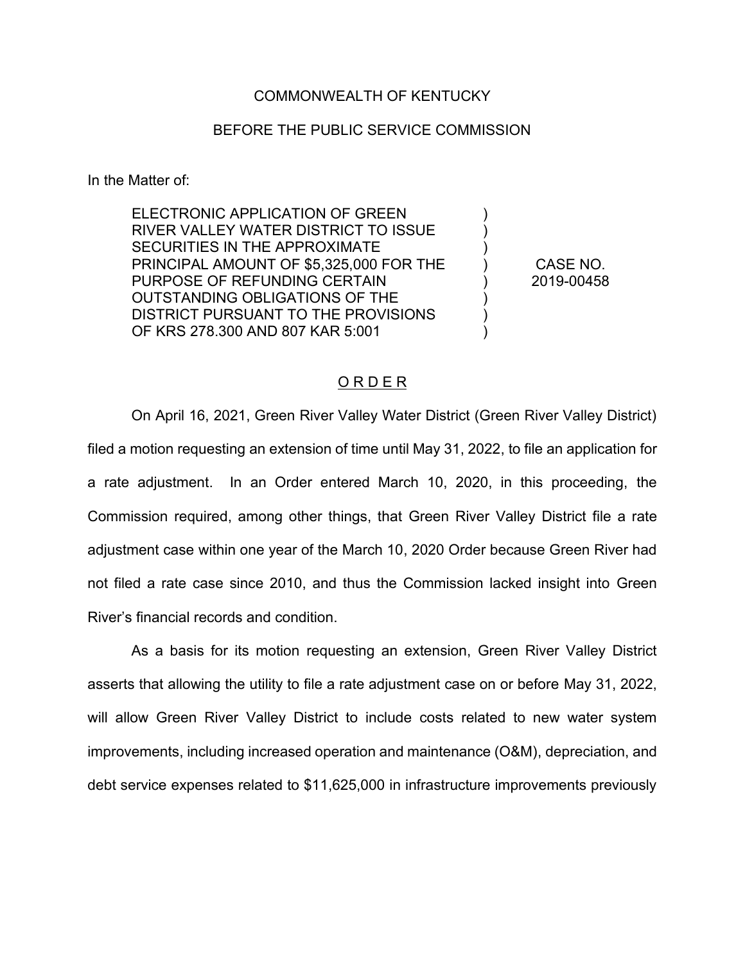## COMMONWEALTH OF KENTUCKY

## BEFORE THE PUBLIC SERVICE COMMISSION

In the Matter of:

ELECTRONIC APPLICATION OF GREEN RIVER VALLEY WATER DISTRICT TO ISSUE SECURITIES IN THE APPROXIMATE PRINCIPAL AMOUNT OF \$5,325,000 FOR THE PURPOSE OF REFUNDING CERTAIN OUTSTANDING OBLIGATIONS OF THE DISTRICT PURSUANT TO THE PROVISIONS OF KRS 278.300 AND 807 KAR 5:001

CASE NO. 2019-00458

) ) ) ) ) ) ) )

## O R D E R

On April 16, 2021, Green River Valley Water District (Green River Valley District) filed a motion requesting an extension of time until May 31, 2022, to file an application for a rate adjustment. In an Order entered March 10, 2020, in this proceeding, the Commission required, among other things, that Green River Valley District file a rate adjustment case within one year of the March 10, 2020 Order because Green River had not filed a rate case since 2010, and thus the Commission lacked insight into Green River's financial records and condition.

As a basis for its motion requesting an extension, Green River Valley District asserts that allowing the utility to file a rate adjustment case on or before May 31, 2022, will allow Green River Valley District to include costs related to new water system improvements, including increased operation and maintenance (O&M), depreciation, and debt service expenses related to \$11,625,000 in infrastructure improvements previously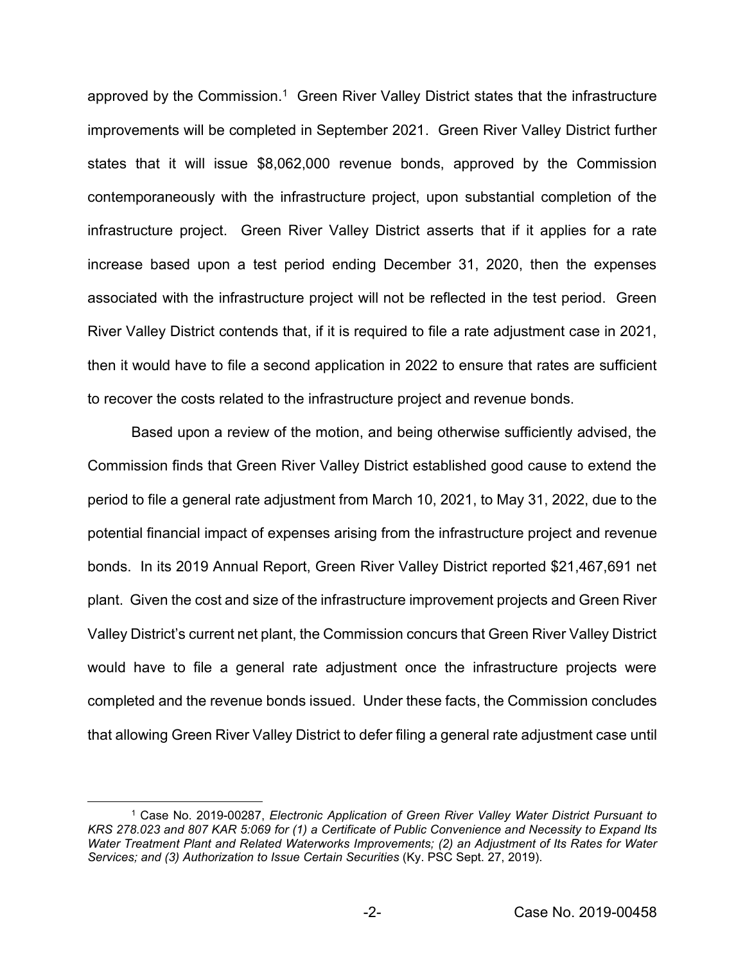approved by the Commission.<sup>1</sup> Green River Valley District states that the infrastructure improvements will be completed in September 2021. Green River Valley District further states that it will issue \$8,062,000 revenue bonds, approved by the Commission contemporaneously with the infrastructure project, upon substantial completion of the infrastructure project. Green River Valley District asserts that if it applies for a rate increase based upon a test period ending December 31, 2020, then the expenses associated with the infrastructure project will not be reflected in the test period. Green River Valley District contends that, if it is required to file a rate adjustment case in 2021, then it would have to file a second application in 2022 to ensure that rates are sufficient to recover the costs related to the infrastructure project and revenue bonds.

Based upon a review of the motion, and being otherwise sufficiently advised, the Commission finds that Green River Valley District established good cause to extend the period to file a general rate adjustment from March 10, 2021, to May 31, 2022, due to the potential financial impact of expenses arising from the infrastructure project and revenue bonds. In its 2019 Annual Report, Green River Valley District reported \$21,467,691 net plant. Given the cost and size of the infrastructure improvement projects and Green River Valley District's current net plant, the Commission concurs that Green River Valley District would have to file a general rate adjustment once the infrastructure projects were completed and the revenue bonds issued. Under these facts, the Commission concludes that allowing Green River Valley District to defer filing a general rate adjustment case until

<sup>1</sup> Case No. 2019-00287, *Electronic Application of Green River Valley Water District Pursuant to KRS 278.023 and 807 KAR 5:069 for (1) a Certificate of Public Convenience and Necessity to Expand Its Water Treatment Plant and Related Waterworks Improvements; (2) an Adjustment of Its Rates for Water Services; and (3) Authorization to Issue Certain Securities* (Ky. PSC Sept. 27, 2019).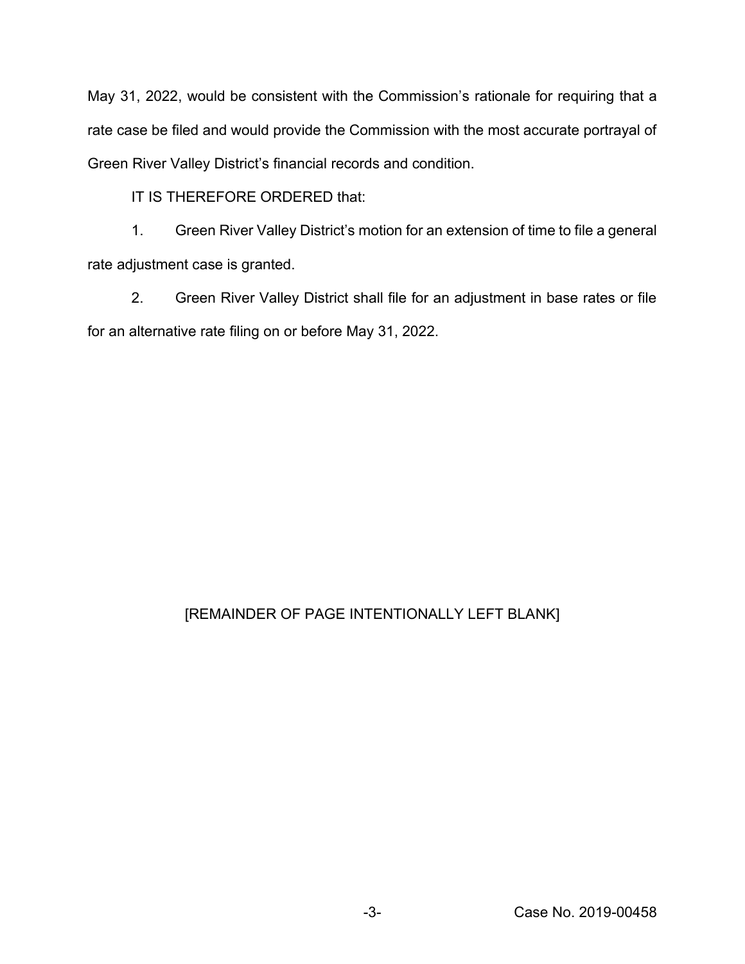May 31, 2022, would be consistent with the Commission's rationale for requiring that a rate case be filed and would provide the Commission with the most accurate portrayal of Green River Valley District's financial records and condition.

IT IS THEREFORE ORDERED that:

1. Green River Valley District's motion for an extension of time to file a general rate adjustment case is granted.

2. Green River Valley District shall file for an adjustment in base rates or file for an alternative rate filing on or before May 31, 2022.

## [REMAINDER OF PAGE INTENTIONALLY LEFT BLANK]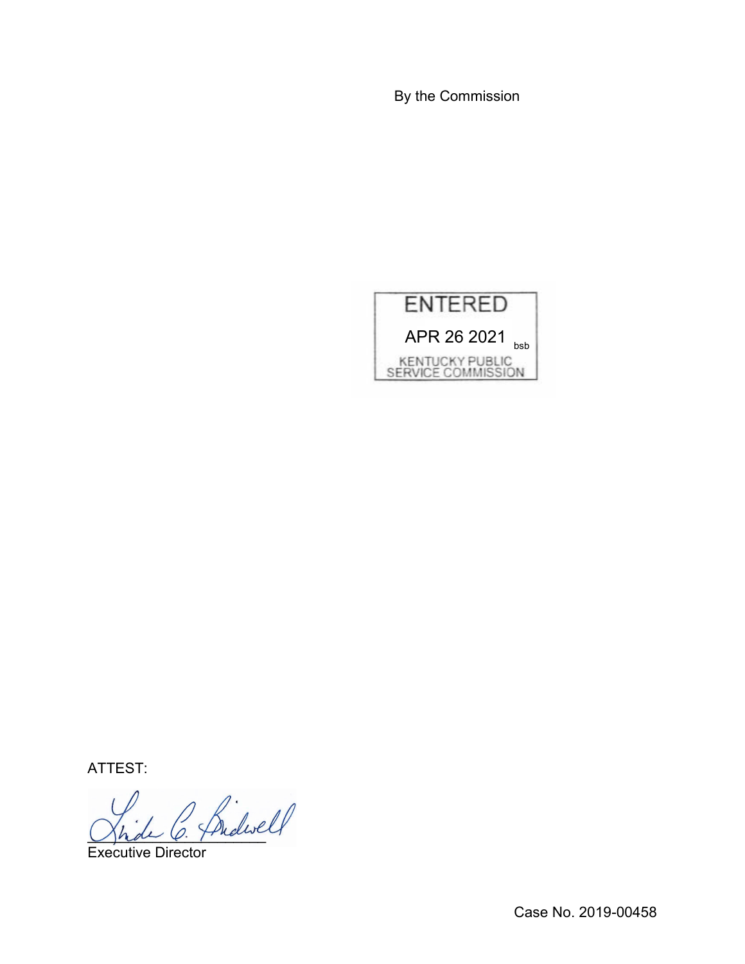By the Commission



ATTEST:

Shde O. Fridan

Executive Director

Case No. 2019-00458